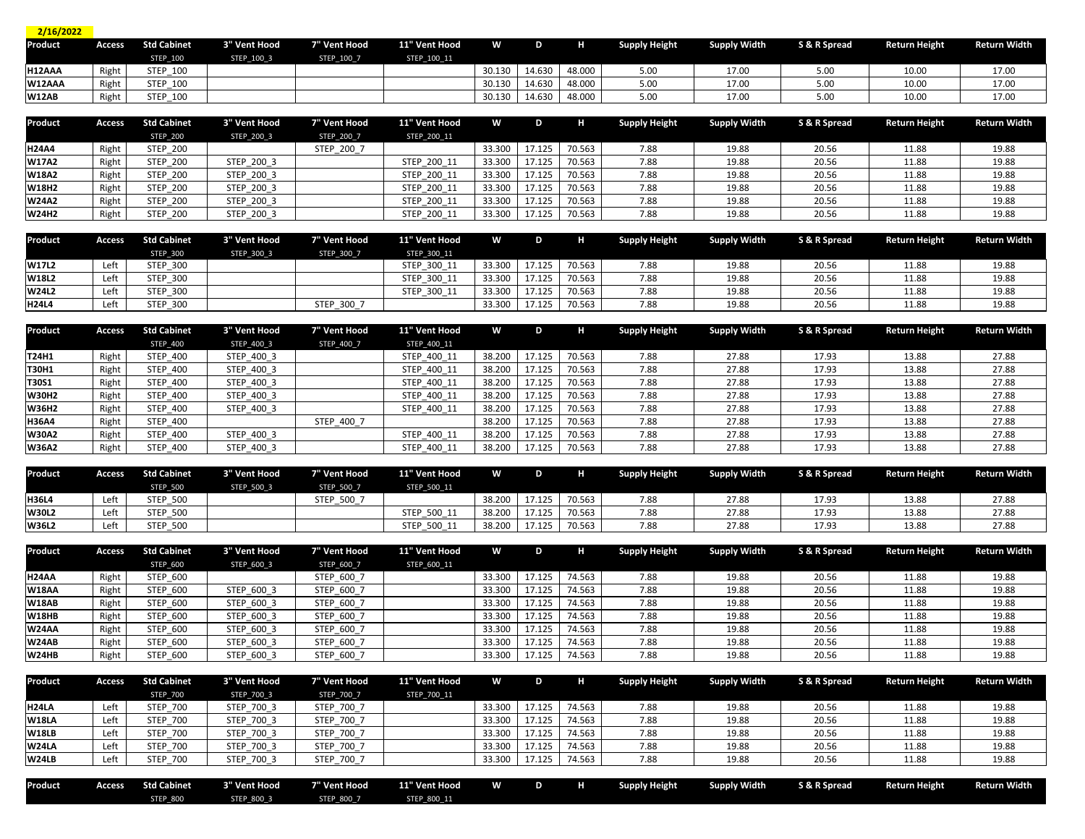| 2/16/2022      |        |                    |              |              |               |        |        |        |                      |                     |              |                      |                     |
|----------------|--------|--------------------|--------------|--------------|---------------|--------|--------|--------|----------------------|---------------------|--------------|----------------------|---------------------|
| <b>Product</b> | Access | <b>Std Cabinet</b> | 3" Vent Hood | 7" Vent Hood | 11" Vent Hood | W      | D      | H      | <b>Supply Height</b> | <b>Supply Width</b> | S & R Spread | <b>Return Height</b> | <b>Return Width</b> |
|                |        | <b>STEP 100</b>    | STEP 100 3   | STEP_100_7   | STEP 100 11   |        |        |        |                      |                     |              |                      |                     |
| H12AAA         | Right  | <b>STEP 100</b>    |              |              |               | 30.130 | 14.630 | 48.000 | 5.00                 | 17.00               | 5.00         | 10.00                | 17.00               |
| W12AAA         | Right  | <b>STEP 100</b>    |              |              |               | 30.130 | 14.630 | 48.000 | 5.00                 | 17.00               | 5.00         | 10.00                | 17.00               |
| <b>W12AB</b>   | Right  | <b>STEP 100</b>    |              |              |               | 30.130 | 14.630 | 48.000 | 5.00                 | 17.00               | 5.0(         | 10.00                | 17.00               |

| Product      | Access | <b>Std Cabinet</b> | 3" Vent Hood | 7" Vent Hood | 11" Vent Hood | W      | D      | н      | <b>Supply Height</b> | <b>Supply Width</b> | S & R Spread | <b>Return Height</b> | <b>Return Width</b> |
|--------------|--------|--------------------|--------------|--------------|---------------|--------|--------|--------|----------------------|---------------------|--------------|----------------------|---------------------|
|              |        | <b>STEP 200</b>    | STEP 200 3   | STEP_200_7   | STEP 200 11   |        |        |        |                      |                     |              |                      |                     |
| <b>H24A4</b> | Right  | <b>STEP 200</b>    |              | STEP 200 7   |               | 33.300 | 17.125 | 70.563 | 7.88                 | 19.88               | 20.56        | 11.88                | 19.88               |
| <b>W17A2</b> | Right  | <b>STEP 200</b>    | STEP 200 3   |              | STEP 200 11   | 33.300 | 17.125 | 70.563 | 7.88                 | 19.88               | 20.56        | 11.88                | 19.88               |
| <b>W18A2</b> | Right  | <b>STEP 200</b>    | STEP 200 3   |              | STEP 200 11   | 33.300 | 17.125 | 70.563 | 7.88                 | 19.88               | 20.56        | 11.88                | 19.88               |
| <b>W18H2</b> | Right  | <b>STEP 200</b>    | STEP 200 3   |              | STEP 200 11   | 33.300 | 17.125 | 70.563 | 7.88                 | 19.88               | 20.56        | 11.88                | 19.88               |
| <b>W24A2</b> | Right  | <b>STEP 200</b>    | STEP 200 3   |              | STEP 200 11   | 33.300 | 17.125 | 70.563 | 7.88                 | 19.88               | 20.56        | 11.88                | 19.88               |
| <b>W24H2</b> | Right  | <b>STEP 200</b>    | STEP 200 3   |              | STEP 200 11   | 33.300 | 17.125 | 70.563 | 7.88                 | 19.88               | 20.56        | 11.88                | 19.88               |

| Product      | Access | <b>Std Cabinet</b> | 3" Vent Hood | 7" Vent Hood | 11" Vent Hood | w      | D      |        | <b>Supply Height</b> | Supply Width | S & R Spread | <b>Return Height</b> | <b>Return Width</b> |
|--------------|--------|--------------------|--------------|--------------|---------------|--------|--------|--------|----------------------|--------------|--------------|----------------------|---------------------|
|              |        | <b>STEP 300</b>    | STEP 300 3   | STEP_300_7   | STEP 300 11   |        |        |        |                      |              |              |                      |                     |
| <b>W17L2</b> | Left   | <b>STEP 300</b>    |              |              | STEP 300 11   | 33.300 | 17.125 | 70.563 | 7.88                 | 19.88        | 20.56        | 11.88                | 19.88               |
| <b>W18L2</b> | Left   | <b>STEP 300</b>    |              |              | STEP 300 11   | 33.300 | 17.125 | 70.563 | 7.88                 | 19.88        | 20.56        | 11.88                | 19.88               |
| <b>W24L2</b> | Left   | <b>STEP 300</b>    |              |              | STEP 300 11   | 33.300 | 17.125 | 70.563 | 7.88                 | 19.88        | 20.5         | 11.88                | 19.88               |
| <b>H24L4</b> | Left   | <b>STEP 300</b>    |              | STEP_300_7   |               | 33.300 | 17.125 | 70.563 | 7.88                 | 19.88        | 20.56        | 11.88                | 19.88               |

| Product      | Access | <b>Std Cabinet</b> | 3" Vent Hood | 7" Vent Hood | 11" Vent Hood | W      | D      | н      | <b>Supply Height</b> | <b>Supply Width</b> | S & R Spread | <b>Return Height</b> | Return Width |
|--------------|--------|--------------------|--------------|--------------|---------------|--------|--------|--------|----------------------|---------------------|--------------|----------------------|--------------|
|              |        | <b>STEP 400</b>    | STEP 400 3   | STEP 400 7   | STEP 400 11   |        |        |        |                      |                     |              |                      |              |
| <b>T24H1</b> | Right  | <b>STEP 400</b>    | STEP 400 3   |              | STEP 400 11   | 38.200 | 17.125 | 70.563 | 7.88                 | 27.88               | 17.93        | 13.88                | 27.88        |
| <b>T30H1</b> | Right  | <b>STEP 400</b>    | STEP 400 3   |              | STEP 400 11   | 38.200 |        | 70.563 | 7.88                 | 27.88               | 17.93        | 13.88                | 27.88        |
| <b>T30S1</b> | Right  | <b>STEP 400</b>    | STEP 400 3   |              | STEP 400 11   | 38.200 | 17.125 | 70.563 | 7.88                 | 27.88               | 17.93        | 13.88                | 27.88        |
| <b>W30H2</b> | Right  | <b>STEP 400</b>    | STEP 400 3   |              | STEP 400 11   | 38.200 |        | 70.563 | 7.88                 | 27.88               | 17.93        | 13.88                | 27.88        |
| <b>W36H2</b> | Right  | <b>STEP 400</b>    | STEP 400 3   |              | STEP 400 11   | 38.200 | 17.125 | 70.563 | 7.88                 | 27.88               | 17.93        | 13.88                | 27.88        |
| <b>H36A4</b> | Right  | <b>STEP 400</b>    |              | STEP 400 7   |               | 38.200 | 17.IZJ | 70.563 | 7.88                 | 27.88               | 17.93        | 13.88                | 27.88        |
| <b>W30A2</b> | Right  | <b>STEP 400</b>    | STEP 400 3   |              | STEP 400 11   | 38.200 | 17.125 | 70.563 | 7.88                 | 27.88               | 17.93        | 13.88                | 27.88        |
| <b>W36A2</b> | Right  | <b>STEP 400</b>    | STEP 400 3   |              | STEP 400 11   | 38.200 | 17.125 | 70.563 | 7.88                 | 27.88               | 17.93        | 13.88                | 27.88        |

| Product      | <b>Access</b> | <b>Std Cabinet</b> | 3" Vent Hood | 7" Vent Hood | 11" Vent Hood | w      | D      | н      | <b>Supply Height</b> | <b>Supply Width</b> | S & R Spread | Return Height | <b>Return Width</b> |
|--------------|---------------|--------------------|--------------|--------------|---------------|--------|--------|--------|----------------------|---------------------|--------------|---------------|---------------------|
|              |               | <b>STEP 500</b>    | STEP 500 3   | STEP 500 7   | STEP 500 11   |        |        |        |                      |                     |              |               |                     |
| <b>H36L4</b> | Left          | <b>STEP 500</b>    |              | STEP 500 7   |               | 38.200 | 17.125 | 70.563 | 7.88                 | 27.88               | 17.93        | 13.88         | 27.88               |
| <b>W30L2</b> | Left          | <b>STEP 500</b>    |              |              | STEP 500 11   | 38.200 | 17.125 | 70.563 | 7.88                 | 27.88               | 17.93        | 13.88         | 27.88               |
| <b>W36L2</b> | Left          | <b>STEP 500</b>    |              |              | STEP 500 11   | 38.200 | 17.125 | 70.563 | 7.88                 | 27.88               | 17.93        | 13.88         | 27.88               |

| Product      | Access | <b>Std Cabinet</b> | 3" Vent Hood | 7" Vent Hood | 11" Vent Hood | W      | D      |        | <b>Supply Height</b> | <b>Supply Width</b> | S & R Spread | <b>Return Height</b> | <b>Return Width</b> |
|--------------|--------|--------------------|--------------|--------------|---------------|--------|--------|--------|----------------------|---------------------|--------------|----------------------|---------------------|
|              |        | <b>STEP 600</b>    | STEP 600 3   | STEP_600_7   | STEP 600 11   |        |        |        |                      |                     |              |                      |                     |
| <b>H24AA</b> | Right  | <b>STEP 600</b>    |              | STEP_600_7   |               | 33.300 | 17.125 | 74.563 | 7.88                 | 19.88               | 20.56        | 11.88                | 19.88               |
| <b>W18AA</b> | Right  | <b>STEP 600</b>    | STEP 600 3   | STEP 600 7   |               | 33.300 | 17.125 | 74.563 | 7.88                 | 19.88               | 20.56        | 11.88                | 19.88               |
| <b>W18AB</b> | Right  | <b>STEP 600</b>    | STEP 600 3   | STEP 600 7   |               | 33.300 | 17.125 | 74.563 | 7.88                 | 19.88               | 20.56        | 11.88                | 19.88               |
| <b>W18HB</b> | Right  | <b>STEP 600</b>    | STEP 600 3   | STEP 600 7   |               | 33.300 | 17.125 | 74.563 | 7.88                 | 19.88               | 20.56        | 11.88                | 19.88               |
| <b>W24AA</b> | Right  | <b>STEP 600</b>    | STEP 600 3   | STEP 600 7   |               | 33.300 | 17.125 | 74.563 | 7.88                 | 19.88               | 20.56        | 11.88                | 19.88               |
| W24AB        | Right  | <b>STEP 600</b>    | STEP 600 3   | STEP_600_7   |               | 33.300 | 17.125 | 74.563 | 7.88                 | 19.88               | 20.56        | 11.88                | 19.88               |
| <b>W24HB</b> | Right  | <b>STEP 600</b>    | STEP 600 3   | STEP 600 7   |               | 33.300 | 17.125 | 74.563 | 7.88                 | 19.88               | 20.56        | 11.88                | 19.88               |

| Product      | Access | <b>Std Cabinet</b> | 3" Vent Hood | 7" Vent Hood | 11" Vent Hood | W      | D      |        | <b>Supply Height</b> | <b>Supply Width</b> | S & R Spread | <b>Return Height</b> | <b>Return Width</b> |
|--------------|--------|--------------------|--------------|--------------|---------------|--------|--------|--------|----------------------|---------------------|--------------|----------------------|---------------------|
|              |        | <b>STEP 700</b>    | STEP 700 3   | STEP 700 7   | STEP 700 11   |        |        |        |                      |                     |              |                      |                     |
| <b>H24LA</b> | Left   | STEP_700           | STEP_700_3   | STEP_700_7   |               | 33.300 | 17.125 | 74.563 | 7.88                 | 19.88               | 20.56        | 11.88                | 19.88               |
| <b>W18LA</b> | Left   | <b>STEP 700</b>    | STEP 700 3   | STEP 700 7   |               | 33.300 | 17.125 | 74.563 | 7.88                 | 19.88               | 20.56        | 11.88                | 19.88               |
| <b>W18LB</b> | Left   | <b>STEP 700</b>    | STEP 700 3   | STEP 700 7   |               | 33.300 | 17.125 | 74.563 | 7.88                 | 19.88               | 20.56        | 11.88                | 19.88               |
| W24LA        | Left   | <b>STEP 700</b>    | STEP 700 3   | STEP 700 7   |               | 33.300 | 17.125 | 74.563 | 7.88                 | 19.88               | 20.56        | 11.88                | 19.88               |
| W24LB        | Left   | <b>STEP 700</b>    | STEP 700 3   | STEP 700 7   |               | 33.300 | 17.125 | 74.563 | 7.88                 | 19.88               | 20.56        | 11.88                | 19.88               |

| Product | <b>ccess</b> | <b>Std Cabinet</b> | 3" Vent Hood | 711 A.Z<br>Vent Hood | 11" Vent Hood | W | D. | <b>Supply Height</b> | Supply Width<br>. . | S & R Spread | <b>Return Height</b> | Return Width I |
|---------|--------------|--------------------|--------------|----------------------|---------------|---|----|----------------------|---------------------|--------------|----------------------|----------------|
|         |              | <b>STEP 800</b>    | STEP 800 3   | <b>STEP 800 7</b>    | STEP_800_11   |   |    |                      |                     |              |                      |                |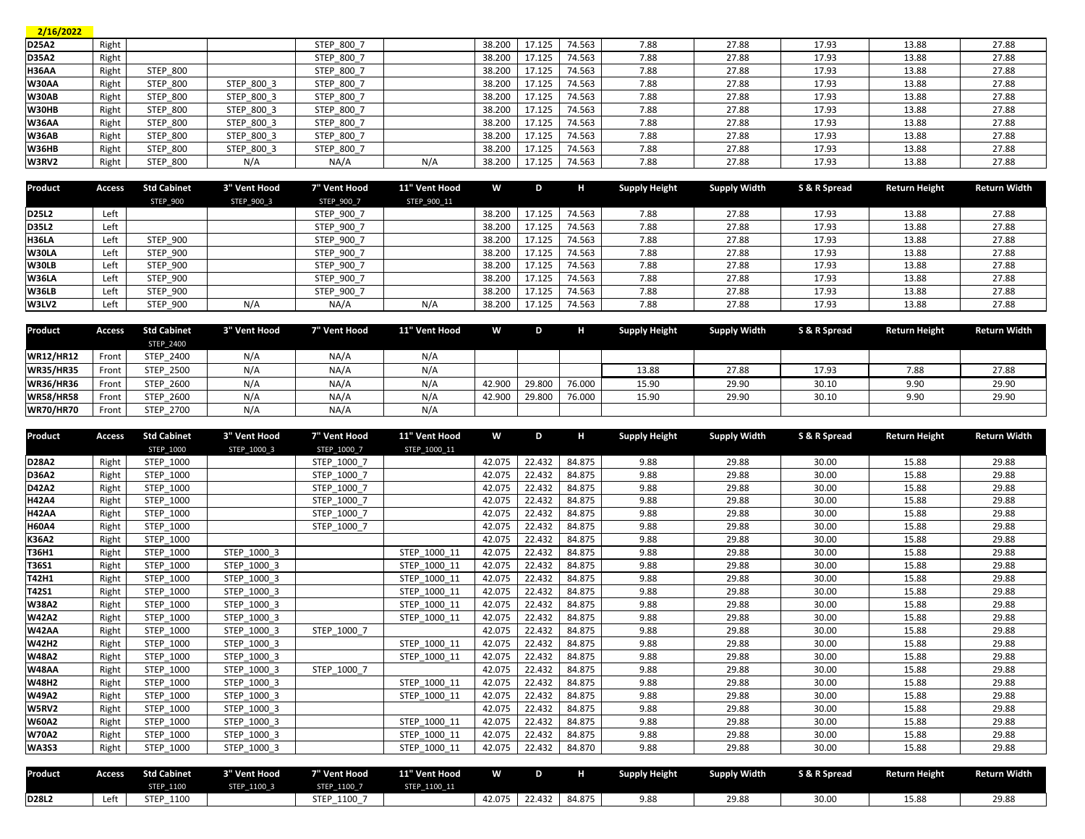| 2/16/2022 |
|-----------|

| D25A2        | Right |                 |            | STEP 800 7 |     | 38.200 | 17.125 | 74.563 | 7.88 | 27.88 | 17.93 | 13.88 | 27.88 |
|--------------|-------|-----------------|------------|------------|-----|--------|--------|--------|------|-------|-------|-------|-------|
| <b>D35A2</b> | Right |                 |            | STEP 800 7 |     | 38.200 | 17.125 | 74.563 | 7.88 | 27.88 | 17.93 | 13.88 | 27.88 |
| <b>H36AA</b> | Right | <b>STEP 800</b> |            | STEP 800 7 |     | 38.200 | 17.125 | 74.563 | 7.88 | 27.88 | 17.93 | 13.88 | 27.88 |
| W30AA        | Right | <b>STEP 800</b> | STEP 800 3 | STEP 800 7 |     | 38.200 | 17.125 | 74.563 | 7.88 | 27.88 | 17.93 | 13.88 | 27.88 |
| <b>W30AB</b> | Right | <b>STEP 800</b> | STEP 800 3 | STEP 800 7 |     | 38.200 | 17.125 | 74.563 | 7.88 | 27.88 | 17.93 | 13.88 | 27.88 |
| W30HB        | Right | <b>STEP 800</b> | STEP_800_3 | STEP_800_7 |     | 38.200 | 17.125 | 74.563 | 7.88 | 27.88 | 17.93 | 13.88 | 27.88 |
| <b>W36AA</b> | Right | <b>STEP 800</b> | STEP 800 3 | STEP 800 7 |     | 38.200 | 17.125 | 74.563 | 7.88 | 27.88 | 17.93 | 13.88 | 27.88 |
| <b>W36AB</b> | Right | <b>STEP 800</b> | STEP 800 3 | STEP 800 7 |     | 38.200 | 17.125 | 74.563 | 7.88 | 27.88 | 17.93 | 13.88 | 27.88 |
| <b>W36HB</b> | Right | <b>STEP 800</b> | STEP 800 3 | STEP 800 7 |     | 38.200 | 17.125 | 74.563 | 7.88 | 27.88 | 17.93 | 13.88 | 27.88 |
| W3RV2        | Right | <b>STEP 800</b> | N/A        | NA/A       | N/A | 38.200 | 17.125 | 74.563 | 7.88 | 27.88 | 17.93 | 13.88 | 27.88 |
|              |       |                 |            |            |     |        |        |        |      |       |       |       |       |

| Product      | Access | <b>Std Cabinet</b> | 3" Vent Hood | 7" Vent Hood | 11" Vent Hood | W      | D      | н      | <b>Supply Height</b> | <b>Supply Width</b> | S & R Spread | <b>Return Height</b> | <b>Return Width</b> |
|--------------|--------|--------------------|--------------|--------------|---------------|--------|--------|--------|----------------------|---------------------|--------------|----------------------|---------------------|
|              |        | <b>STEP 900</b>    | STEP 900 3   | STEP_900_7   | STEP_900_11   |        |        |        |                      |                     |              |                      |                     |
| D25L2        | Left   |                    |              | STEP 900 7   |               | 38.200 | 17.125 | 74.563 | 7.88                 | 27.88               | 17.93        | 13.88                | 27.88               |
| D35L2        | Left   |                    |              | STEP 900 7   |               | 38.200 | 17.125 | 74.563 | 7.88                 | 27.88               | 17.93        | 13.88                | 27.88               |
| <b>H36LA</b> | Left   | <b>STEP 900</b>    |              | STEP 900 7   |               | 38.200 | 17.125 | 74.563 | 7.88                 | 27.88               | 17.93        | 13.88                | 27.88               |
| W30LA        | Left   | <b>STEP 900</b>    |              | STEP 900 7   |               | 38.200 | 17.125 | 74.563 | 7.88                 | 27.88               | 17.93        | 13.88                | 27.88               |
| W30LB        | Left   | <b>STEP 900</b>    |              | STEP 900 7   |               | 38.200 | 17.125 | 74.563 | 7.88                 | 27.88               | 17.93        | 13.88                | 27.88               |
| <b>W36LA</b> | Left   | <b>STEP 900</b>    |              | STEP 900 7   |               | 38.200 | 17.125 | 74.563 | 7.88                 | 27.88               | 17.93        | 13.88                | 27.88               |
| <b>W36LB</b> | Left   | <b>STEP 900</b>    |              | STEP 900 7   |               | 38.200 | 17.125 | 74.563 | 7.88                 | 27.88               | 17.93        | 13.88                | 27.88               |
| W3LV2        | Left   | <b>STEP 900</b>    | N/A          | NA/A         | N/A           | 38.200 | 17.125 | 74.563 | 7.88                 | 27.88               | 17.93        | 13.88                | 27.88               |

| Product          | Access | <b>Std Cabinet</b> | 3" Vent Hood | 7" Vent Hood | 11" Vent Hood | W      | D      | н      | <b>Supply Height</b> | <b>Supply Width</b> | S & R Spread | <b>Return Height</b> | Return Width |
|------------------|--------|--------------------|--------------|--------------|---------------|--------|--------|--------|----------------------|---------------------|--------------|----------------------|--------------|
|                  |        | <b>STEP 2400</b>   |              |              |               |        |        |        |                      |                     |              |                      |              |
| <b>WR12/HR12</b> | Front  | STEP 2400          | N/A          | NA/A         | N/A           |        |        |        |                      |                     |              |                      |              |
| <b>WR35/HR35</b> | Front  | <b>STEP 2500</b>   | N/A          | NA/A         | N/A           |        |        |        | 13.88                | 27.88               | 17.93        | 7.88                 | 27.88        |
| <b>WR36/HR36</b> | Front  | <b>STEP 2600</b>   | N/A          | NA/A         | N/A           | 42.900 | 29.800 | 76.000 | 15.90                | 29.90               | 30.10        | 9.90                 | 29.90        |
| <b>WR58/HR58</b> | Front  | <b>STEP 2600</b>   | N/A          | NA/A         | N/A           | 42.900 | 29.800 | 76.000 | 15.90                | 29.90               | 30.10        | 9.90                 | 29.90        |
| <b>WR70/HR70</b> | Front  | STEP 2700          | N/A          | NA/A         | N/A           |        |        |        |                      |                     |              |                      |              |

| Product      | <b>Access</b> | <b>Std Cabinet</b> | 3" Vent Hood | 7" Vent Hood | 11" Vent Hood | W      | D      | н      | <b>Supply Height</b> | <b>Supply Width</b> | S & R Spread | <b>Return Height</b> | <b>Return Width</b> |
|--------------|---------------|--------------------|--------------|--------------|---------------|--------|--------|--------|----------------------|---------------------|--------------|----------------------|---------------------|
|              |               | STEP 1000          | STEP 1000 3  | STEP 1000 7  | STEP 1000 11  |        |        |        |                      |                     |              |                      |                     |
| D28A2        | Right         | STEP 1000          |              | STEP 1000 7  |               | 42.075 | 22.432 | 84.875 | 9.88                 | 29.88               | 30.00        | 15.88                | 29.88               |
| D36A2        | Right         | STEP 1000          |              | STEP 1000 7  |               | 42.075 | 22.432 | 84.875 | 9.88                 | 29.88               | 30.00        | 15.88                | 29.88               |
| D42A2        | Right         | STEP 1000          |              | STEP 1000 7  |               | 42.075 | 22.432 | 84.875 | 9.88                 | 29.88               | 30.00        | 15.88                | 29.88               |
| <b>H42A4</b> | Right         | STEP 1000          |              | STEP 1000 7  |               | 42.075 | 22.432 | 84.875 | 9.88                 | 29.88               | 30.00        | 15.88                | 29.88               |
| H42AA        | Right         | STEP 1000          |              | STEP 1000 7  |               | 42.075 | 22.432 | 84.875 | 9.88                 | 29.88               | 30.00        | 15.88                | 29.88               |
| <b>H60A4</b> | Right         | STEP 1000          |              | STEP 1000 7  |               | 42.075 | 22.432 | 84.875 | 9.88                 | 29.88               | 30.00        | 15.88                | 29.88               |
| K36A2        | Right         | STEP 1000          |              |              |               | 42.075 | 22.432 | 84.875 | 9.88                 | 29.88               | 30.00        | 15.88                | 29.88               |
| T36H1        | Right         | STEP 1000          | STEP 1000 3  |              | STEP 1000 11  | 42.075 | 22.432 | 84.875 | 9.88                 | 29.88               | 30.00        | 15.88                | 29.88               |
| <b>T36S1</b> | Right         | STEP 1000          | STEP 1000 3  |              | STEP 1000 11  | 42.075 | 22.432 | 84.875 | 9.88                 | 29.88               | 30.00        | 15.88                | 29.88               |
| T42H1        | Right         | STEP 1000          | STEP 1000 3  |              | STEP 1000 11  | 42.075 | 22.432 | 84.875 | 9.88                 | 29.88               | 30.00        | 15.88                | 29.88               |
| T42S1        | Right         | STEP 1000          | STEP 1000 3  |              | STEP 1000 11  | 42.075 | 22.432 | 84.875 | 9.88                 | 29.88               | 30.00        | 15.88                | 29.88               |
| <b>W38A2</b> | Right         | STEP 1000          | STEP 1000 3  |              | STEP 1000 11  | 42.075 | 22.432 | 84.875 | 9.88                 | 29.88               | 30.00        | 15.88                | 29.88               |
| <b>W42A2</b> | Right         | STEP 1000          | STEP 1000 3  |              | STEP 1000 11  | 42.075 | 22.432 | 84.875 | 9.88                 | 29.88               | 30.00        | 15.88                | 29.88               |
| W42AA        | Right         | STEP 1000          | STEP 1000 3  | STEP 1000 7  |               | 42.075 | 22.432 | 84.875 | 9.88                 | 29.88               | 30.00        | 15.88                | 29.88               |
| <b>W42H2</b> | Right         | STEP 1000          | STEP 1000 3  |              | STEP 1000 11  | 42.075 | 22.432 | 84.875 | 9.88                 | 29.88               | 30.00        | 15.88                | 29.88               |
| <b>W48A2</b> | Right         | STEP 1000          | STEP 1000 3  |              | STEP 1000 11  | 42.075 | 22.432 | 84.875 | 9.88                 | 29.88               | 30.00        | 15.88                | 29.88               |
| <b>W48AA</b> | Right         | STEP 1000          | STEP 1000 3  | STEP 1000 7  |               | 42.075 | 22.432 | 84.875 | 9.88                 | 29.88               | 30.00        | 15.88                | 29.88               |
| <b>W48H2</b> | Right         | STEP 1000          | STEP 1000 3  |              | STEP 1000 11  | 42.075 | 22.432 | 84.875 | 9.88                 | 29.88               | 30.00        | 15.88                | 29.88               |
| <b>W49A2</b> | Right         | STEP 1000          | STEP 1000 3  |              | STEP 1000 11  | 42.075 | 22.432 | 84.875 | 9.88                 | 29.88               | 30.00        | 15.88                | 29.88               |
| W5RV2        | Right         | STEP 1000          | STEP 1000 3  |              |               | 42.075 | 22.432 | 84.875 | 9.88                 | 29.88               | 30.00        | 15.88                | 29.88               |
| <b>W60A2</b> | Right         | STEP 1000          | STEP 1000 3  |              | STEP 1000 11  | 42.075 | 22.432 | 84.875 | 9.88                 | 29.88               | 30.00        | 15.88                | 29.88               |
| <b>W70A2</b> | Right         | STEP 1000          | STEP 1000 3  |              | STEP 1000 11  | 42.075 | 22.432 | 84.875 | 9.88                 | 29.88               | 30.00        | 15.88                | 29.88               |
| <b>WA3S3</b> | Right         | STEP 1000          | STEP 1000 3  |              | STEP 1000 11  | 42.075 | 22.432 | 84.870 | 9.88                 | 29.88               | 30.00        | 15.88                | 29.88               |

| Product | <b>ccess</b> | <b>Std Cabinet</b>  | <sup>3"</sup> Vent Hood | <sup>7"</sup> Vent Hood | 11" Vent Hood | W                           |        |        | Supply Height | <b>Supply Width</b> | <b>S &amp; R Spread</b> | Return Height | Return Width |
|---------|--------------|---------------------|-------------------------|-------------------------|---------------|-----------------------------|--------|--------|---------------|---------------------|-------------------------|---------------|--------------|
|         |              | <b>STEP 1100</b>    | STEP_1100_3             | STEP 1100 7             | STEP 1100 11  |                             |        |        |               |                     |                         |               |              |
| D28L2   | Left         | <b>STEP</b><br>1100 |                         | 1100 7<br><b>STEP</b>   |               | <b>2.075</b><br><u>L.vi</u> | 22.432 | 84.875 | 9.88          | 29.88               | 30.0                    | 15.88         | 29.88        |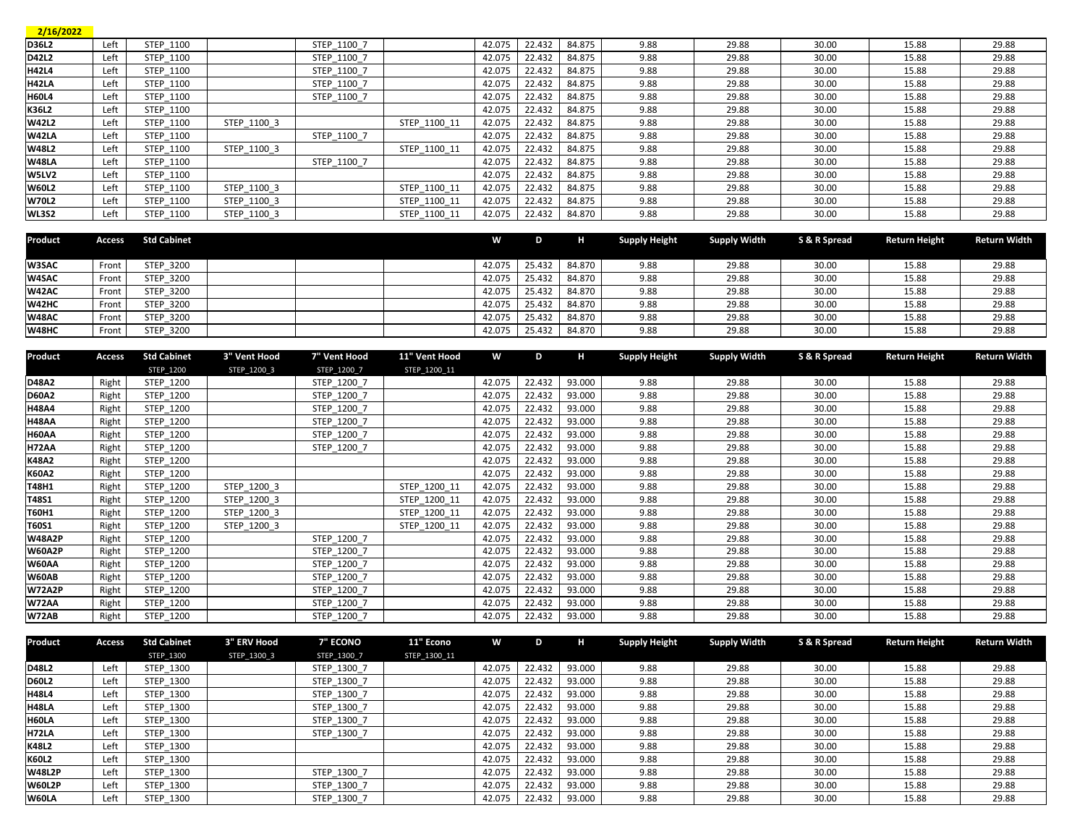| 2/16/2022    |      |           |             |             |              |        |        |        |      |       |       |       |       |
|--------------|------|-----------|-------------|-------------|--------------|--------|--------|--------|------|-------|-------|-------|-------|
| D36L2        | Left | STEP 1100 |             | STEP 1100 7 |              | 42.075 | 22.432 | 84.875 | 9.88 | 29.88 | 30.00 | 15.88 | 29.88 |
| D42L2        | Left | STEP 1100 |             | STEP 1100 7 |              | 42.075 | 22.432 | 84.875 | 9.88 | 29.88 | 30.00 | 15.88 | 29.88 |
| <b>H42L4</b> | Left | STEP 1100 |             | STEP 1100 7 |              | 42.075 | 22.432 | 84.875 | 9.88 | 29.88 | 30.00 | 15.88 | 29.88 |
| H42LA        | Left | STEP 1100 |             | STEP 1100 7 |              | 42.075 | 22.432 | 84.875 | 9.88 | 29.88 | 30.00 | 15.88 | 29.88 |
| <b>H60L4</b> | Left | STEP 1100 |             | STEP 1100 7 |              | 42.075 | 22.432 | 84.875 | 9.88 | 29.88 | 30.00 | 15.88 | 29.88 |
| K36L2        | Left | STEP 1100 |             |             |              | 42.075 | 22.432 | 84.875 | 9.88 | 29.88 | 30.00 | 15.88 | 29.88 |
| <b>W42L2</b> | Left | STEP 1100 | STEP 1100 3 |             | STEP 1100 11 | 42.075 | 22.432 | 84.875 | 9.88 | 29.88 | 30.00 | 15.88 | 29.88 |
| W42LA        | Left | STEP 1100 |             | STEP 1100 7 |              | 42.075 | 22.432 | 84.875 | 9.88 | 29.88 | 30.00 | 15.88 | 29.88 |
| <b>W48L2</b> | Left | STEP 1100 | STEP 1100 3 |             | STEP 1100 11 | 42.075 | 22.432 | 84.875 | 9.88 | 29.88 | 30.00 | 15.88 | 29.88 |
| <b>W48LA</b> | Left | STEP 1100 |             | STEP 1100 7 |              | 42.075 | 22.432 | 84.875 | 9.88 | 29.88 | 30.00 | 15.88 | 29.88 |
| W5LV2        | Left | STEP 1100 |             |             |              | 42.075 | 22.432 | 84.875 | 9.88 | 29.88 | 30.00 | 15.88 | 29.88 |
| <b>W60L2</b> | Left | STEP 1100 | STEP 1100 3 |             | STEP 1100 11 | 42.075 | 22.432 | 84.875 | 9.88 | 29.88 | 30.00 | 15.88 | 29.88 |
| <b>W70L2</b> | Left | STEP 1100 | STEP 1100 3 |             | STEP 1100 11 | 42.075 | 22.432 | 84.875 | 9.88 | 29.88 | 30.00 | 15.88 | 29.88 |
| WL3S2        | Left | STEP 1100 | STEP 1100 3 |             | STEP 1100 11 | 42.075 | 22.432 | 84.870 | 9.88 | 29.88 | 30.00 | 15.88 | 29.88 |

| Product      | Access | Std Cabinet      | W      | D      | ш      | <b>Supply Height</b> | Supply Width | S & R Spread | <b>Return Height</b> | <b>Return Width</b> |
|--------------|--------|------------------|--------|--------|--------|----------------------|--------------|--------------|----------------------|---------------------|
|              |        |                  |        |        |        |                      |              |              |                      |                     |
| W3SAC        | Front  | STEP 3200        | 42.075 | 25.432 | 84.870 | 9.88                 | 29.88        | 30.00        | 15.88                | 29.88               |
| W4SAC        | Front  | <b>STEP 3200</b> | 42.075 | 25.432 | 84.870 | 9.88                 | 29.88        | 30.00        | 15.88                | 29.88               |
| W42AC        | Front  | <b>STEP 3200</b> | 42.075 | 25.432 | 84.870 | 9.88                 | 29.88        | 30.00        | 15.88                | 29.88               |
| W42HC        | Front  | <b>STEP 3200</b> | 42.075 | 25.432 | 84.870 | 9.88                 | 29.88        | 30.00        | 15.88                | 29.88               |
| <b>W48AC</b> | Front  | <b>STEP 3200</b> | 42.075 | 25.432 | 84.870 | 9.88                 | 29.88        | 30.00        | 15.88                | 29.88               |
| W48HC        | Front  | <b>STEP 3200</b> | 42.075 | 25.432 | 84.870 | 9.88                 | 29.88        | 30.00        | 15.88                | 29.88               |

| Product       | Access | <b>Std Cabinet</b> | 3" Vent Hood | 7" Vent Hood | 11" Vent Hood | W      | D      | н      | <b>Supply Height</b> | <b>Supply Width</b> | S & R Spread | <b>Return Height</b> | <b>Return Width</b> |
|---------------|--------|--------------------|--------------|--------------|---------------|--------|--------|--------|----------------------|---------------------|--------------|----------------------|---------------------|
|               |        | STEP 1200          | STEP 1200 3  | STEP 1200 7  | STEP 1200 11  |        |        |        |                      |                     |              |                      |                     |
| D48A2         | Right  | STEP 1200          |              | STEP 1200 7  |               | 42.075 | 22.432 | 93.000 | 9.88                 | 29.88               | 30.00        | 15.88                | 29.88               |
| <b>D60A2</b>  | Right  | STEP 1200          |              | STEP 1200 7  |               | 42.075 | 22.432 | 93.000 | 9.88                 | 29.88               | 30.00        | 15.88                | 29.88               |
| <b>H48A4</b>  | Right  | STEP 1200          |              | STEP 1200 7  |               | 42.075 | 22.432 | 93.000 | 9.88                 | 29.88               | 30.00        | 15.88                | 29.88               |
| H48AA         | Right  | STEP 1200          |              | STEP 1200 7  |               | 42.075 | 22.432 | 93.000 | 9.88                 | 29.88               | 30.00        | 15.88                | 29.88               |
| H60AA         | Right  | STEP 1200          |              | STEP 1200 7  |               | 42.075 | 22.432 | 93.000 | 9.88                 | 29.88               | 30.00        | 15.88                | 29.88               |
| <b>H72AA</b>  | Right  | STEP 1200          |              | STEP 1200 7  |               | 42.075 | 22.432 | 93.000 | 9.88                 | 29.88               | 30.00        | 15.88                | 29.88               |
| <b>K48A2</b>  | Right  | STEP 1200          |              |              |               | 42.075 | 22.432 | 93.000 | 9.88                 | 29.88               | 30.00        | 15.88                | 29.88               |
| K60A2         | Right  | STEP 1200          |              |              |               | 42.075 | 22.432 | 93.000 | 9.88                 | 29.88               | 30.00        | 15.88                | 29.88               |
| T48H1         | Right  | STEP 1200          | STEP 1200 3  |              | STEP 1200 11  | 42.075 | 22.432 | 93.000 | 9.88                 | 29.88               | 30.00        | 15.88                | 29.88               |
| T48S1         | Right  | STEP 1200          | STEP 1200 3  |              | STEP 1200 11  | 42.075 | 22.432 | 93.000 | 9.88                 | 29.88               | 30.00        | 15.88                | 29.88               |
| T60H1         | Right  | STEP 1200          | STEP 1200 3  |              | STEP 1200 11  | 42.075 | 22.432 | 93.000 | 9.88                 | 29.88               | 30.00        | 15.88                | 29.88               |
| T60S1         | Right  | STEP 1200          | STEP 1200 3  |              | STEP 1200 11  | 42.075 | 22.432 | 93.000 | 9.88                 | 29.88               | 30.00        | 15.88                | 29.88               |
| <b>W48A2P</b> | Right  | STEP 1200          |              | STEP 1200 7  |               | 42.075 | 22.432 | 93.000 | 9.88                 | 29.88               | 30.00        | 15.88                | 29.88               |
| <b>W60A2P</b> | Right  | STEP 1200          |              | STEP 1200 7  |               | 42.075 | 22.432 | 93.000 | 9.88                 | 29.88               | 30.00        | 15.88                | 29.88               |
| W60AA         | Right  | STEP 1200          |              | STEP 1200 7  |               | 42.075 | 22.432 | 93.000 | 9.88                 | 29.88               | 30.00        | 15.88                | 29.88               |
| W60AB         | Right  | STEP 1200          |              | STEP 1200 7  |               | 42.075 | 22.432 | 93.000 | 9.88                 | 29.88               | 30.00        | 15.88                | 29.88               |
| <b>W72A2P</b> | Right  | STEP 1200          |              | STEP 1200 7  |               | 42.075 | 22.432 | 93.000 | 9.88                 | 29.88               | 30.00        | 15.88                | 29.88               |
| <b>W72AA</b>  | Right  | STEP 1200          |              | STEP 1200 7  |               | 42.075 | 22.432 | 93.000 | 9.88                 | 29.88               | 30.00        | 15.88                | 29.88               |
| <b>W72AB</b>  | Right  | STEP 1200          |              | STEP 1200 7  |               | 42.075 | 22.432 | 93.000 | 9.88                 | 29.88               | 30.00        | 15.88                | 29.88               |

| Product       | Access | <b>Std Cabinet</b> | 3" ERV Hood | <b>7" ECONO</b> | 11" Econo    | W      | D      | н      | <b>Supply Height</b> | <b>Supply Width</b> | S & R Spread | <b>Return Height</b> | <b>Return Width</b> |
|---------------|--------|--------------------|-------------|-----------------|--------------|--------|--------|--------|----------------------|---------------------|--------------|----------------------|---------------------|
|               |        | STEP 1300          | STEP 1300 3 | STEP 1300 7     | STEP 1300 11 |        |        |        |                      |                     |              |                      |                     |
| D48L2         | Left   | STEP 1300          |             | STEP 1300 7     |              | 42.075 | 22.432 | 93.000 | 9.88                 | 29.88               | 30.00        | 15.88                | 29.88               |
| <b>D60L2</b>  | Left   | STEP 1300          |             | STEP 1300 7     |              | 42.075 | 22.432 | 93.000 | 9.88                 | 29.88               | 30.00        | 15.88                | 29.88               |
| <b>H48L4</b>  | Left   | STEP 1300          |             | STEP 1300 7     |              | 42.075 | 22.432 | 93.000 | 9.88                 | 29.88               | 30.00        | 15.88                | 29.88               |
| H48LA         | Left   | STEP 1300          |             | STEP 1300 7     |              | 42.075 | 22.432 | 93.000 | 9.88                 | 29.88               | 30.00        | 15.88                | 29.88               |
| H60LA         | Left   | STEP 1300          |             | STEP 1300 7     |              | 42.075 | 22.432 | 93.000 | 9.88                 | 29.88               | 30.00        | 15.88                | 29.88               |
| <b>H72LA</b>  | Left   | STEP 1300          |             | STEP 1300 7     |              | 42.075 | 22.432 | 93.000 | 9.88                 | 29.88               | 30.00        | 15.88                | 29.88               |
| K48L2         | Left   | STEP 1300          |             |                 |              | 42.075 | 22.432 | 93.000 | 9.88                 | 29.88               | 30.00        | 15.88                | 29.88               |
| <b>K60L2</b>  | Left   | STEP 1300          |             |                 |              | 42.075 | 22.432 | 93.000 | 9.88                 | 29.88               | 30.00        | 15.88                | 29.88               |
| <b>W48L2P</b> | Left   | STEP 1300          |             | STEP 1300 7     |              | 42.075 | 22.432 | 93.000 | 9.88                 | 29.88               | 30.00        | 15.88                | 29.88               |
| <b>W60L2P</b> | Left   | STEP 1300          |             | STEP 1300 7     |              | 42.075 | 22.432 | 93.000 | 9.88                 | 29.88               | 30.00        | 15.88                | 29.88               |
| W60LA         | Left   | STEP 1300          |             | STEP 1300 7     |              | 42.075 | 22.432 | 93.000 | 9.88                 | 29.88               | 30.00        | 15.88                | 29.88               |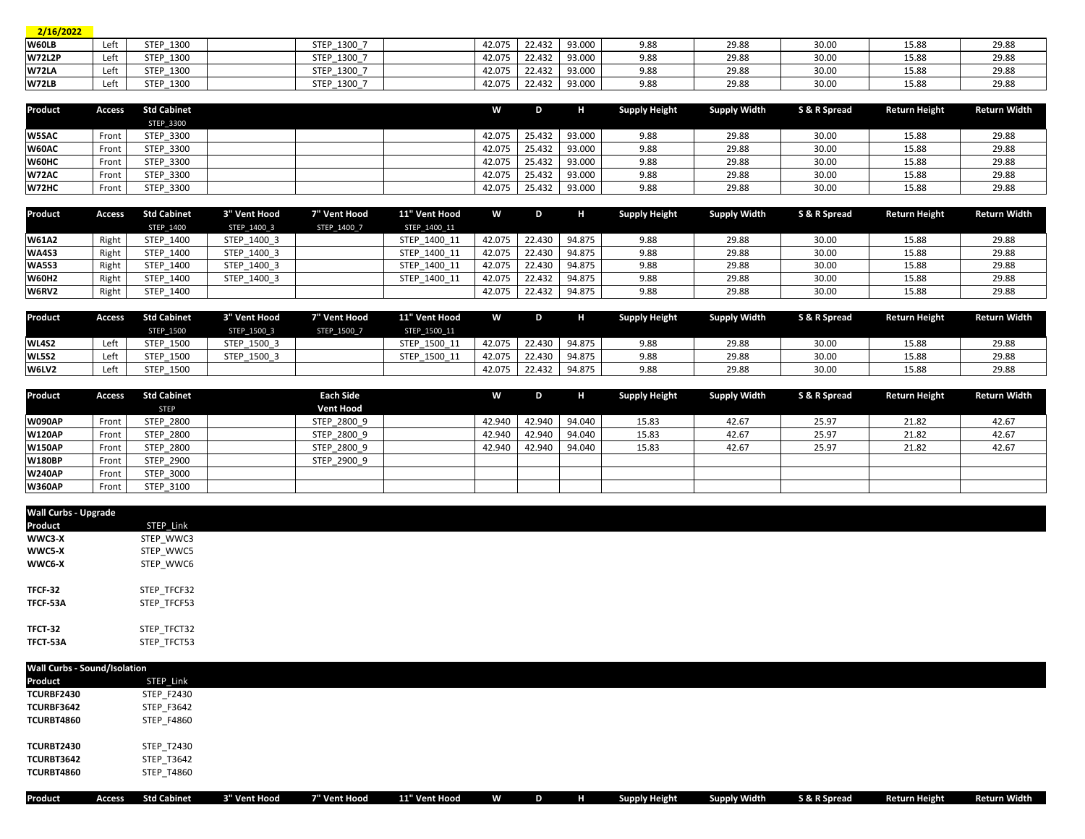| 2/16/2022     |      |           |             |        |        |               |      |       |       |       |       |
|---------------|------|-----------|-------------|--------|--------|---------------|------|-------|-------|-------|-------|
| W60LB         | Left | STEP 1300 | STEP 1300 7 | 42.075 |        | 22.432 93.000 | 9.88 | 29.88 | 30.00 | 15.88 | 29.88 |
| <b>W72L2P</b> | Left | STEP 1300 | STEP 1300 7 | 42.075 | 22.432 | 93.000        | 9.88 | 29.88 | 30.00 | 15.88 | 29.88 |
| W72LA         | Left | STEP 1300 | STEP 1300 7 | 42.075 | 22.432 | 93.000        | 9.88 | 29.88 | 30.00 | 15.88 | 29.88 |
| W72LB         | Left | STEP 1300 | STEP_1300_7 | 42.075 |        | 22.432 93.000 | 9.88 | 29.88 | 30.00 | 15.88 | 29.88 |

| Product      | Access | <b>Std Cabinet</b> |  | W      | D      |        | <b>Supply Height</b> | Supply Width | S & R Spread | <b>Return Height</b> | Return Width |
|--------------|--------|--------------------|--|--------|--------|--------|----------------------|--------------|--------------|----------------------|--------------|
|              |        | <b>STEP 3300</b>   |  |        |        |        |                      |              |              |                      |              |
| <b>W5SAC</b> | Front  | STEP 3300          |  | 42.075 | 25.432 | 93.000 | 9.88                 | 29.88        | 30.00        | 15.88                | 29.88        |
| W60AC        | Front  | STEP 3300          |  | 42.075 | 25.432 | 93.000 | 9.88                 | 29.88        | 30.00        | 15.88                | 29.88        |
| W60HC        | Front  | STEP 3300          |  | 42.075 | 25.432 | 93.000 | 9.88                 | 29.88        | 30.00        | 15.88                | 29.88        |
| W72AC        | Front  | <b>STEP 3300</b>   |  | 42.075 | 25.432 | 93.000 | 9.88                 | 29.88        | 30.00        | 15.88                | 29.88        |
| W72HC        | Front  | STEP 3300          |  | 42.075 | 25.432 | 93.000 | 9.88                 | 29.88        | 30.00        | 15.88                | 29.88        |

| Product      | Access | Std Cabinet      | 3" Vent Hood | 7" Vent Hood | 11" Vent Hood | W      | D      |        | <b>Supply Height</b> | Supply Width | S & R Spread | <b>Return Height</b> | Return Width |
|--------------|--------|------------------|--------------|--------------|---------------|--------|--------|--------|----------------------|--------------|--------------|----------------------|--------------|
|              |        | <b>STEP 1400</b> | STEP 1400 3  | STEP 1400 7  | STEP 1400 11  |        |        |        |                      |              |              |                      |              |
| <b>W61A2</b> | Right  | STEP 1400        | STEP 1400 3  |              | STEP 1400 11  | 42.075 | 22.430 | 94.875 | 9.88                 | 29.88        | 30.00        | 15.88                | 29.88        |
| <b>WA4S3</b> | Right  | STEP 1400        | STEP 1400 3  |              | STEP 1400 11  | 42.075 | 22.430 | 94.875 | 9.88                 | 29.88        | 30.00        | 15.88                | 29.88        |
| <b>WA5S3</b> | Right  | STEP 1400        | STEP 1400 3  |              | STEP 1400 11  | 42.075 | 22.430 | 94.875 | 9.88                 | 29.88        | 30.00        | 15.88                | 29.88        |
| <b>W60H2</b> | Right  | STEP 1400        | STEP 1400 3  |              | STEP 1400 11  | 42.075 | 22.432 | 94.875 | 9.88                 | 29.88        | 30.00        | 15.88                | 29.88        |
| W6RV2        | Right  | STEP 1400        |              |              |               | 42.075 | 22.432 | 94.875 | 9.88                 | 29.88        | 30.00        | 15.88                | 29.88        |

| Product      |      | Access Std Cabinet | 3" Vent Hood | 7" Vent Hood | 11" Vent Hood | W      | D      |        | <b>Supply Height</b> | <b>Supply Width</b> | S & R Spread | <b>Return Height</b> | Return Width |
|--------------|------|--------------------|--------------|--------------|---------------|--------|--------|--------|----------------------|---------------------|--------------|----------------------|--------------|
|              |      | <b>STEP 1500</b>   | STEP 1500 3  | STEP 1500 7  | STEP 1500 11  |        |        |        |                      |                     |              |                      |              |
| <b>WL4S2</b> | Left | <b>STEP 1500</b>   | STEP 1500 3  |              | STEP 1500 11  | 42.075 | 22.430 | 94.875 | 9.88                 | 29.88               | 30.0         | 15.88                | 29.88        |
| <b>WL5S2</b> | Left | <b>STEP 1500</b>   | STEP 1500 3  |              | STEP 1500 11  | 42.075 | 22.430 | 94.875 | 9.88                 | 29.88               | 30.0         | 15.88                | 29.88        |
| W6LV2        | Left | <b>STEP 1500</b>   |              |              |               | 42.075 | 22.432 | 94.875 | 9.88                 | 29.88               | 30.00        | 15.88                | 29.88        |

| Product       | Access | Std Cabinet      | <b>Each Side</b> | W      | D      | н      | <b>Supply Height</b> | <b>Supply Width</b> | S & R Spread | <b>Return Height</b> | <b>Return Width</b> |
|---------------|--------|------------------|------------------|--------|--------|--------|----------------------|---------------------|--------------|----------------------|---------------------|
|               |        | <b>STEP</b>      | <b>Vent Hood</b> |        |        |        |                      |                     |              |                      |                     |
| <b>W090AP</b> | Front  | <b>STEP 2800</b> | STEP 2800 9      | 42.940 | 42.940 | 94.040 | 15.83                | 42.67               | 25.97        | 21.82                | 42.67               |
| <b>W120AP</b> | Front  | <b>STEP 2800</b> | STEP 2800 9      | 42.940 | 42.940 | 94.040 | 15.83                | 42.67               | 25.97        | 21.82                | 42.67               |
| <b>W150AP</b> | Front  | <b>STEP 2800</b> | STEP 2800 9      | 42.940 | 42.940 | 94.040 | 15.83                | 42.67               | 25.97        | 21.82                | 42.67               |
| <b>W180BP</b> | Front  | <b>STEP 2900</b> | STEP_2900_9      |        |        |        |                      |                     |              |                      |                     |
| <b>W240AP</b> | Front  | <b>STEP 3000</b> |                  |        |        |        |                      |                     |              |                      |                     |
| <b>W360AP</b> | Front  | STEP 3100        |                  |        |        |        |                      |                     |              |                      |                     |

| <b>Wall Curbs - Upgrade</b> |             |
|-----------------------------|-------------|
| Product                     | STEP_Link   |
| WWC3-X                      | STEP_WWC3   |
| WWC5-X                      | STEP_WWC5   |
| WWC6-X                      | STEP_WWC6   |
|                             |             |
| TFCF-32                     | STEP_TFCF32 |
| TFCF-53A                    | STEP_TFCF53 |
|                             |             |
| TFCT-32                     | STEP_TFCT32 |
| TFCT-53A                    | STEP_TFCT53 |

| <b>Wall Curbs - Sound/Isolation</b> |        |                    |              |              |               |   |   |   |                      |                     |              |                      |              |
|-------------------------------------|--------|--------------------|--------------|--------------|---------------|---|---|---|----------------------|---------------------|--------------|----------------------|--------------|
| <b>Product</b>                      |        | STEP_Link          |              |              |               |   |   |   |                      |                     |              |                      |              |
| <b>TCURBF2430</b>                   |        | <b>STEP F2430</b>  |              |              |               |   |   |   |                      |                     |              |                      |              |
| TCURBF3642                          |        | STEP_F3642         |              |              |               |   |   |   |                      |                     |              |                      |              |
| TCURBT4860                          |        | STEP_F4860         |              |              |               |   |   |   |                      |                     |              |                      |              |
| TCURBT2430                          |        | <b>STEP T2430</b>  |              |              |               |   |   |   |                      |                     |              |                      |              |
| TCURBT3642                          |        | STEP_T3642         |              |              |               |   |   |   |                      |                     |              |                      |              |
| TCURBT4860                          |        | STEP_T4860         |              |              |               |   |   |   |                      |                     |              |                      |              |
|                                     |        |                    |              |              |               |   |   |   |                      |                     |              |                      |              |
| Product                             | Access | <b>Std Cabinet</b> | 3" Vent Hood | 7" Vent Hood | 11" Vent Hood | W | D | н | <b>Supply Height</b> | <b>Supply Width</b> | S & R Spread | <b>Return Height</b> | Return Width |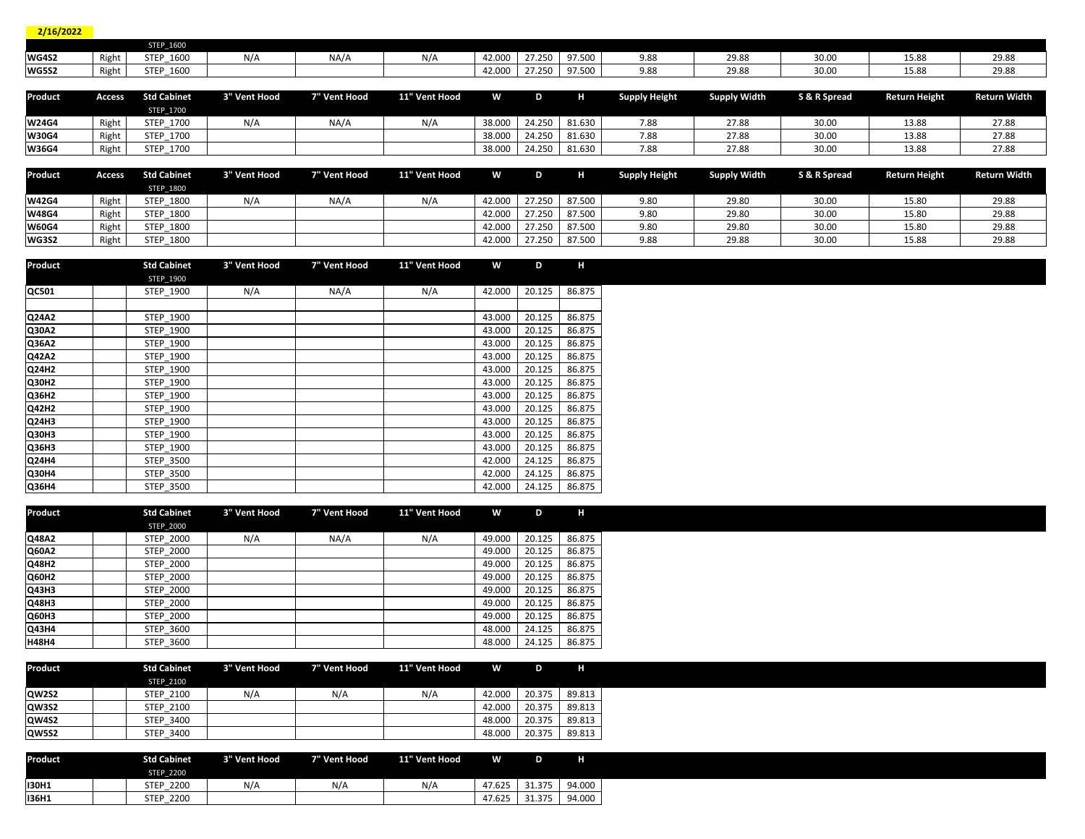| 2/16/2022    |               |                    |              |              |               |        |        |        |                      |                     |              |                      |                     |
|--------------|---------------|--------------------|--------------|--------------|---------------|--------|--------|--------|----------------------|---------------------|--------------|----------------------|---------------------|
|              |               | STEP 1600          |              |              |               |        |        |        |                      |                     |              |                      |                     |
| <b>WG4S2</b> | Right         | STEP 1600          | N/A          | NA/A         | N/A           | 42.000 | 27.250 | 97.500 | 9.88                 | 29.88               | 30.00        | 15.88                | 29.88               |
| <b>WG5S2</b> | Right         | STEP 1600          |              |              |               | 42.000 | 27.250 | 97.500 | 9.88                 | 29.88               | 30.00        | 15.88                | 29.88               |
|              |               |                    |              |              |               |        |        |        |                      |                     |              |                      |                     |
| Product      | <b>Access</b> | <b>Std Cabinet</b> | 3" Vent Hood | 7" Vent Hood | 11" Vent Hood | W      | D      | н      | <b>Supply Height</b> | <b>Supply Width</b> | S & R Spread | <b>Return Height</b> | <b>Return Width</b> |
|              |               | <b>STEP 1700</b>   |              |              |               |        |        |        |                      |                     |              |                      |                     |
| <b>W24G4</b> | Right         | STEP 1700          | N/A          | NA/A         | N/A           | 38.000 | 24.250 | 81.630 | 7.88                 | 27.88               | 30.00        | 13.88                | 27.88               |
| <b>W30G4</b> | Right         | STEP 1700          |              |              |               | 38.000 | 24.250 | 81.630 | 7.88                 | 27.88               | 30.00        | 13.88                | 27.88               |
| <b>W36G4</b> | Right         | STEP 1700          |              |              |               | 38.000 | 24.250 | 81.630 | 7.88                 | 27.88               | 30.00        | 13.88                | 27.88               |
|              |               |                    |              |              |               |        |        |        |                      |                     |              |                      |                     |
| Product      | <b>Access</b> | <b>Std Cabinet</b> | 3" Vent Hood | 7" Vent Hood | 11" Vent Hood | W      | D      | H      | <b>Supply Height</b> | <b>Supply Width</b> | S & R Spread | <b>Return Height</b> | <b>Return Width</b> |
|              |               | STEP_1800          |              |              |               |        |        |        |                      |                     |              |                      |                     |
| <b>W42G4</b> | Right         | STEP 1800          | N/A          | NA/A         | N/A           | 42.000 | 27.250 | 87.500 | 9.80                 | 29.80               | 30.00        | 15.80                | 29.88               |
| <b>W48G4</b> | Right         | STEP 1800          |              |              |               | 42.000 | 27.250 | 87.500 | 9.80                 | 29.80               | 30.00        | 15.80                | 29.88               |
| <b>W60G4</b> | Right         | STEP 1800          |              |              |               | 42.000 | 27.250 | 87.500 | 9.80                 | 29.80               | 30.00        | 15.80                | 29.88               |
| <b>WG3S2</b> | Right         | STEP 1800          |              |              |               | 42.000 | 27.250 | 87.500 | 9.88                 | 29.88               | 30.00        | 15.88                | 29.88               |

| Product      | <b>Std Cabinet</b> | 3" Vent Hood | 7" Vent Hood | 11" Vent Hood | W      | D      | н      |
|--------------|--------------------|--------------|--------------|---------------|--------|--------|--------|
|              | <b>STEP 1900</b>   |              |              |               |        |        |        |
| QC501        | STEP 1900          | N/A          | NA/A         | N/A           | 42.000 | 20.125 | 86.875 |
|              |                    |              |              |               |        |        |        |
| Q24A2        | STEP 1900          |              |              |               | 43.000 | 20.125 | 86.875 |
| Q30A2        | STEP 1900          |              |              |               | 43.000 | 20.125 | 86.875 |
| Q36A2        | STEP 1900          |              |              |               | 43.000 | 20.125 | 86.875 |
| Q42A2        | STEP 1900          |              |              |               | 43.000 | 20.125 | 86.875 |
| <b>Q24H2</b> | STEP 1900          |              |              |               | 43.000 | 20.125 | 86.875 |
| Q30H2        | STEP 1900          |              |              |               | 43.000 | 20.125 | 86.875 |
| Q36H2        | STEP 1900          |              |              |               | 43.000 | 20.125 | 86.875 |
| <b>Q42H2</b> | STEP 1900          |              |              |               | 43.000 | 20.125 | 86.875 |
| <b>Q24H3</b> | STEP 1900          |              |              |               | 43.000 | 20.125 | 86.875 |
| <b>Q30H3</b> | STEP 1900          |              |              |               | 43.000 | 20.125 | 86.875 |
| Q36H3        | STEP 1900          |              |              |               | 43.000 | 20.125 | 86.875 |
| <b>Q24H4</b> | <b>STEP 3500</b>   |              |              |               | 42.000 | 24.125 | 86.875 |
| <b>Q30H4</b> | <b>STEP 3500</b>   |              |              |               | 42.000 | 24.125 | 86.875 |
| Q36H4        | <b>STEP 3500</b>   |              |              |               | 42.000 | 24.125 | 86.875 |

| Product      | <b>Std Cabinet</b> | 3" Vent Hood | 7" Vent Hood | 11" Vent Hood | w      | D      | H      |  |
|--------------|--------------------|--------------|--------------|---------------|--------|--------|--------|--|
|              | <b>STEP 2000</b>   |              |              |               |        |        |        |  |
| Q48A2        | <b>STEP 2000</b>   | N/A          | NA/A         | N/A           | 49.000 | 20.125 | 86.875 |  |
| Q60A2        | <b>STEP 2000</b>   |              |              |               | 49.000 | 20.125 | 86.875 |  |
| Q48H2        | <b>STEP 2000</b>   |              |              |               | 49.000 | 20.125 | 86.875 |  |
| Q60H2        | <b>STEP 2000</b>   |              |              |               | 49.000 | 20.125 | 86.875 |  |
| Q43H3        | <b>STEP 2000</b>   |              |              |               | 49.000 | 20.125 | 86.875 |  |
| Q48H3        | <b>STEP 2000</b>   |              |              |               | 49.000 | 20.125 | 86.875 |  |
| Q60H3        | <b>STEP 2000</b>   |              |              |               | 49.000 | 20.125 | 86.875 |  |
| Q43H4        | <b>STEP 3600</b>   |              |              |               | 48.000 | 24.125 | 86.875 |  |
| <b>H48H4</b> | <b>STEP 3600</b>   |              |              |               | 48.000 | 24.125 | 86.875 |  |

| Product      | <b>Std Cabinet</b> | 3" Vent Hood | 7" Vent Hood | 11" Vent Hood | W.     | D      |        |
|--------------|--------------------|--------------|--------------|---------------|--------|--------|--------|
|              | STEP 2100          |              |              |               |        |        |        |
| QW2S2        | STEP 2100          | N/A          | N/A          | N/A           | 42.000 | 20.375 | 89.813 |
| QW3S2        | <b>STEP 2100</b>   |              |              |               | 42.000 | 20.375 | 89.813 |
| QW4S2        | <b>STEP 3400</b>   |              |              |               | 48.000 | 20.375 | 89.813 |
| <b>QW5S2</b> | STEP 3400          |              |              |               | 48.000 | 20.375 | 89.813 |

| Product      | <b>Std Cabinet</b>  | 3" Vent Hood | 7" Vent Hood | 11" Vent Hood | W.         |        | н      |
|--------------|---------------------|--------------|--------------|---------------|------------|--------|--------|
|              | <b>STEP 2200</b>    |              |              |               |            |        |        |
| <b>I30H1</b> | 2200<br><b>STEP</b> | N/A          | N/A          | N/A           | 47.625     | 31.375 | 94.000 |
| <b>I36H1</b> | 2200<br><b>STEP</b> |              |              |               | .625<br>47 | 31 375 | 94.000 |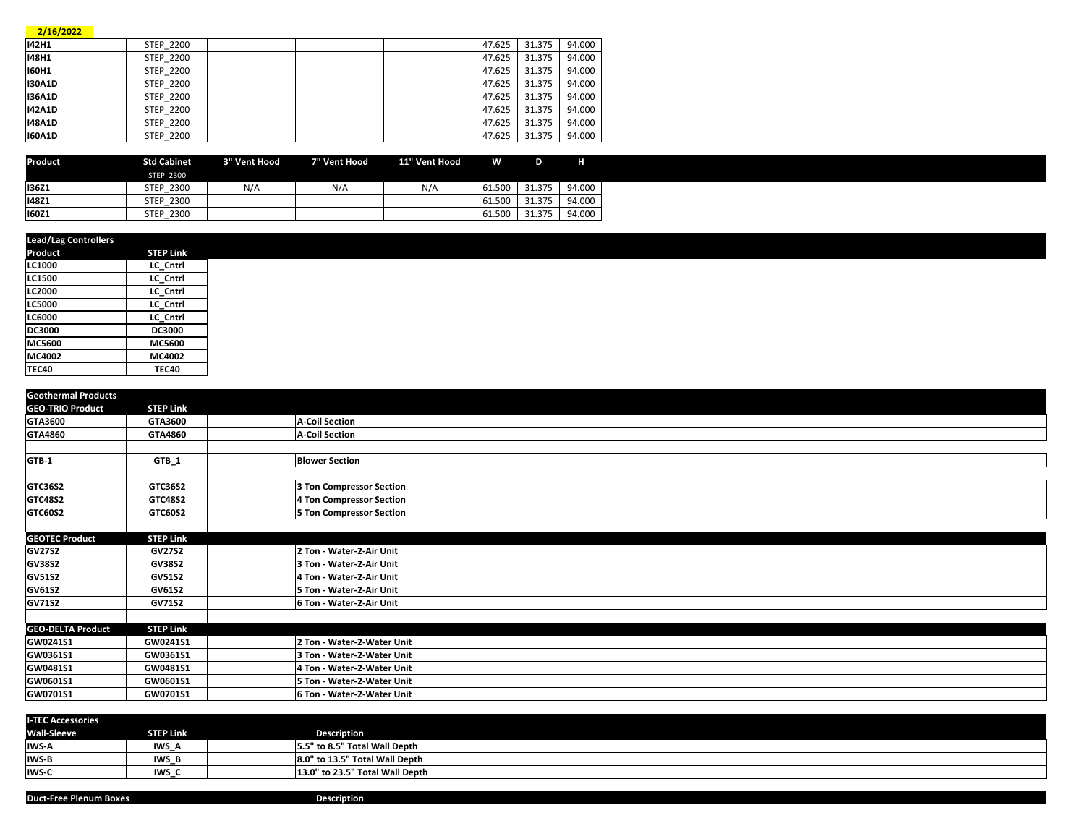| 2/16/2022     |                  |  |        |        |        |
|---------------|------------------|--|--------|--------|--------|
| 142H1         | <b>STEP 2200</b> |  | 47.625 | 31.375 | 94.000 |
| 148H1         | <b>STEP 2200</b> |  | 47.625 | 31.375 | 94.000 |
| <b>I60H1</b>  | <b>STEP 2200</b> |  | 47.625 | 31.375 | 94.000 |
| <b>I30A1D</b> | <b>STEP 2200</b> |  | 47.625 | 31.375 | 94.000 |
| <b>I36A1D</b> | <b>STEP 2200</b> |  | 47.625 | 31.375 | 94.000 |
| <b>I42A1D</b> | <b>STEP 2200</b> |  | 47.625 | 31.375 | 94.000 |
| <b>148A1D</b> | <b>STEP 2200</b> |  | 47.625 | 31.375 | 94.000 |
| <b>160A1D</b> | <b>STEP 2200</b> |  | 47.625 | 31.375 | 94.000 |

| <b>Product</b> | <b>Std Cabinet</b> | 3" Vent Hood | 7" Vent Hood | 11" Vent Hood | w      | D      | н      |
|----------------|--------------------|--------------|--------------|---------------|--------|--------|--------|
|                | <b>STEP 2300</b>   |              |              |               |        |        |        |
| <b>I36Z1</b>   | STEP 2300          | N/A          | N/A          | N/A           | 61.500 | 31.375 | 94.000 |
| <b>148Z1</b>   | STEP 2300          |              |              |               | 61.500 | 31.375 | 94.000 |
| <b>160Z1</b>   | STEP 2300          |              |              |               | 61.500 | 31.375 | 94.000 |

| <b>Lead/Lag Controllers</b> |                  |  |  |  |  |  |
|-----------------------------|------------------|--|--|--|--|--|
| Product                     | <b>STEP Link</b> |  |  |  |  |  |
| LC1000                      | LC Cntrl         |  |  |  |  |  |
| LC1500                      | LC Cntrl         |  |  |  |  |  |
| <b>LC2000</b>               | LC Cntrl         |  |  |  |  |  |
| <b>LC5000</b>               | LC Cntrl         |  |  |  |  |  |
| <b>LC6000</b>               | LC Cntrl         |  |  |  |  |  |
| DC3000                      | <b>DC3000</b>    |  |  |  |  |  |
| MC5600                      | MC5600           |  |  |  |  |  |
| MC4002                      | MC4002           |  |  |  |  |  |
| <b>TEC40</b>                | <b>TEC40</b>     |  |  |  |  |  |

| <b>Geothermal Products</b> |                  |                                 |  |
|----------------------------|------------------|---------------------------------|--|
| <b>GEO-TRIO Product</b>    | <b>STEP Link</b> |                                 |  |
| GTA3600                    | GTA3600          | <b>A-Coil Section</b>           |  |
| GTA4860                    | GTA4860          | <b>A-Coil Section</b>           |  |
|                            |                  |                                 |  |
| GTB-1                      | $GTB_1$          | <b>Blower Section</b>           |  |
|                            |                  |                                 |  |
| GTC36S2                    | GTC36S2          | 3 Ton Compressor Section        |  |
| <b>GTC48S2</b>             | <b>GTC48S2</b>   | 4 Ton Compressor Section        |  |
| <b>GTC60S2</b>             | GTC60S2          | <b>5 Ton Compressor Section</b> |  |
|                            |                  |                                 |  |
| <b>GEOTEC Product</b>      | <b>STEP Link</b> |                                 |  |
| <b>GV27S2</b>              | <b>GV27S2</b>    | 2 Ton - Water-2-Air Unit        |  |
| <b>GV38S2</b>              | <b>GV38S2</b>    | 3 Ton - Water-2-Air Unit        |  |
| <b>GV51S2</b>              | <b>GV51S2</b>    | 4 Ton - Water-2-Air Unit        |  |
| <b>GV61S2</b>              | <b>GV61S2</b>    | 5 Ton - Water-2-Air Unit        |  |
| <b>GV71S2</b>              | <b>GV71S2</b>    | 6 Ton - Water-2-Air Unit        |  |
|                            |                  |                                 |  |
| <b>GEO-DELTA Product</b>   | <b>STEP Link</b> |                                 |  |
| GW0241S1                   | GW0241S1         | 2 Ton - Water-2-Water Unit      |  |
| GW0361S1                   | GW0361S1         | 3 Ton - Water-2-Water Unit      |  |
| GW0481S1                   | GW0481S1         | 4 Ton - Water-2-Water Unit      |  |
| GW0601S1                   | GW0601S1         | 5 Ton - Water-2-Water Unit      |  |
| GW0701S1                   | GW0701S1         | 6 Ton - Water-2-Water Unit      |  |

| <b>I-TEC Accessories</b> |                  |                                 |  |  |  |  |  |
|--------------------------|------------------|---------------------------------|--|--|--|--|--|
| <b>Wall-Sleeve</b>       | <b>STEP Link</b> | <b>Description</b>              |  |  |  |  |  |
| <b>IWS-A</b>             | IWS_A            | 5.5" to 8.5" Total Wall Depth   |  |  |  |  |  |
| <b>IWS-B</b>             | <b>IWS B</b>     | 8.0" to 13.5" Total Wall Depth  |  |  |  |  |  |
| IWS-C                    | IWS O            | 13.0" to 23.5" Total Wall Depth |  |  |  |  |  |